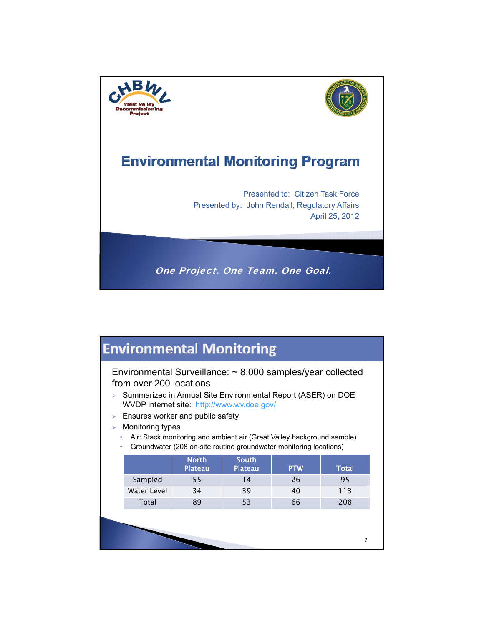

# **Environmental Monitoring**

Environmental Surveillance: ~ 8,000 samples/year collected from over 200 locations

- > Summarized in Annual Site Environmental Report (ASER) on DOE WVDP internet site: http://www.wv.doe.gov/
- $\triangleright$  Ensures worker and public safety
- $\triangleright$  Monitoring types
	- Air: Stack monitoring and ambient air (Great Valley background sample)
	- Groundwater (208 on-site routine groundwater monitoring locations)

|             | <b>North</b><br><b>Plateau</b> | <b>South</b><br><b>Plateau</b> | <b>PTW</b> | Total |
|-------------|--------------------------------|--------------------------------|------------|-------|
| Sampled     | 55                             | <b>4</b>                       | 26         | 95    |
| Water Level | 34                             | 39                             | 40         | 113   |
| Total       | 89                             | 53                             | 66         | 208   |

2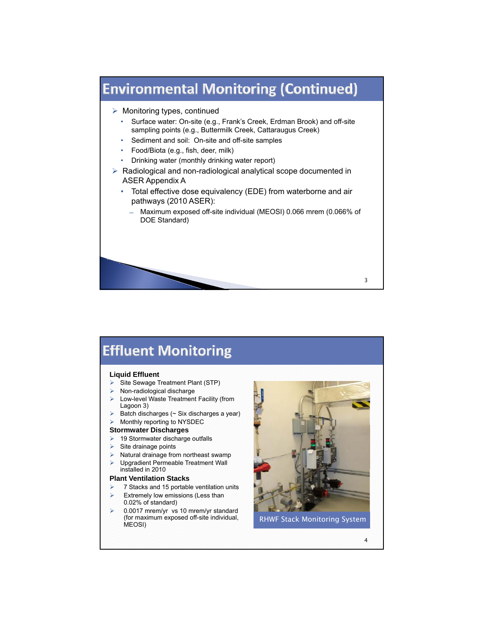

# **Effluent Monitoring**

### **Liquid Effluent**

- Site Sewage Treatment Plant (STP)
- Non-radiological discharge
- Low-level Waste Treatment Facility (from Lagoon 3)
- Batch discharges (~ Six discharges a year)
- Monthly reporting to NYSDEC

#### **Stormwater Discharges**

- $\geq$  19 Stormwater discharge outfalls
- Site drainage points
- Natural drainage from northeast swamp
- Upgradient Permeable Treatment Wall installed in 2010

### **Plant Ventilation Stacks Plant Ventilation**

- 7 Stacks and 15 portable ventilation units
- Extremely low emissions (Less than 0.02% of standard)
- 0.0017 mrem/yr vs 10 mrem/yr standard (for maximum exposed off-site individual, MEOSI)



RHWF Stack Monitoring System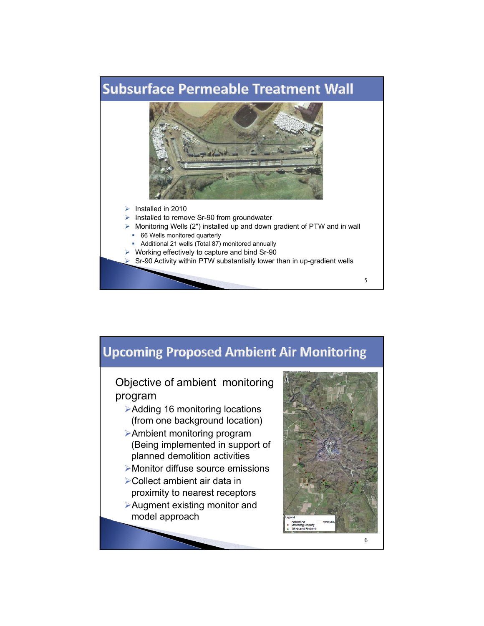